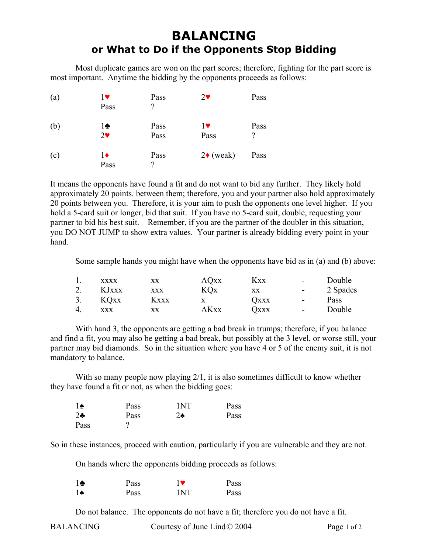## **BALANCING or What to Do if the Opponents Stop Bidding**

 Most duplicate games are won on the part scores; therefore, fighting for the part score is most important. Anytime the bidding by the opponents proceeds as follows:

| (a) | 17<br>Pass                            | Pass<br>?    | $2\blacktriangledown$ | Pass      |
|-----|---------------------------------------|--------------|-----------------------|-----------|
| (b) | $1\clubsuit$<br>$2\blacktriangledown$ | Pass<br>Pass | 17<br>Pass            | Pass<br>? |
| (c) | 1♦<br>Pass                            | Pass<br>?    | $2\bullet$ (weak)     | Pass      |

It means the opponents have found a fit and do not want to bid any further. They likely hold approximately 20 points. between them; therefore, you and your partner also hold approximately 20 points between you. Therefore, it is your aim to push the opponents one level higher. If you hold a 5-card suit or longer, bid that suit. If you have no 5-card suit, double, requesting your partner to bid his best suit. Remember, if you are the partner of the doubler in this situation, you DO NOT JUMP to show extra values. Your partner is already bidding every point in your hand.

Some sample hands you might have when the opponents have bid as in (a) and (b) above:

|    | <b>XXXX</b> | XX          | <b>AQ</b> xx | <b>Kxx</b>  | $\sim$                                            | Double   |
|----|-------------|-------------|--------------|-------------|---------------------------------------------------|----------|
| 2. | KJxxx       | XXX         | KOx          | XX          | $\frac{1}{2}$ and $\frac{1}{2}$ and $\frac{1}{2}$ | 2 Spades |
| 3. | KQxx        | <b>Kxxx</b> | $\mathbf{X}$ | <b>OXXX</b> | $\sim$                                            | Pass     |
| 4. | <b>XXX</b>  | XX          | AKxx         | Оххх        | $\sim$                                            | Double   |

With hand 3, the opponents are getting a bad break in trumps; therefore, if you balance and find a fit, you may also be getting a bad break, but possibly at the 3 level, or worse still, your partner may bid diamonds. So in the situation where you have 4 or 5 of the enemy suit, it is not mandatory to balance.

With so many people now playing 2/1, it is also sometimes difficult to know whether they have found a fit or not, as when the bidding goes:

| م ≀    | Pass | 1NT           | Pass |
|--------|------|---------------|------|
| $2 - $ | Pass | $2\spadesuit$ | Pass |
| Pass   | ۰    |               |      |

So in these instances, proceed with caution, particularly if you are vulnerable and they are not.

On hands where the opponents bidding proceeds as follows:

| ÷   | Pass |     | Pass |
|-----|------|-----|------|
| ه ا | Pass | 1NT | Pass |

Do not balance. The opponents do not have a fit; therefore you do not have a fit.

BALANCING Courtesy of June Lind © 2004 Page 1 of 2